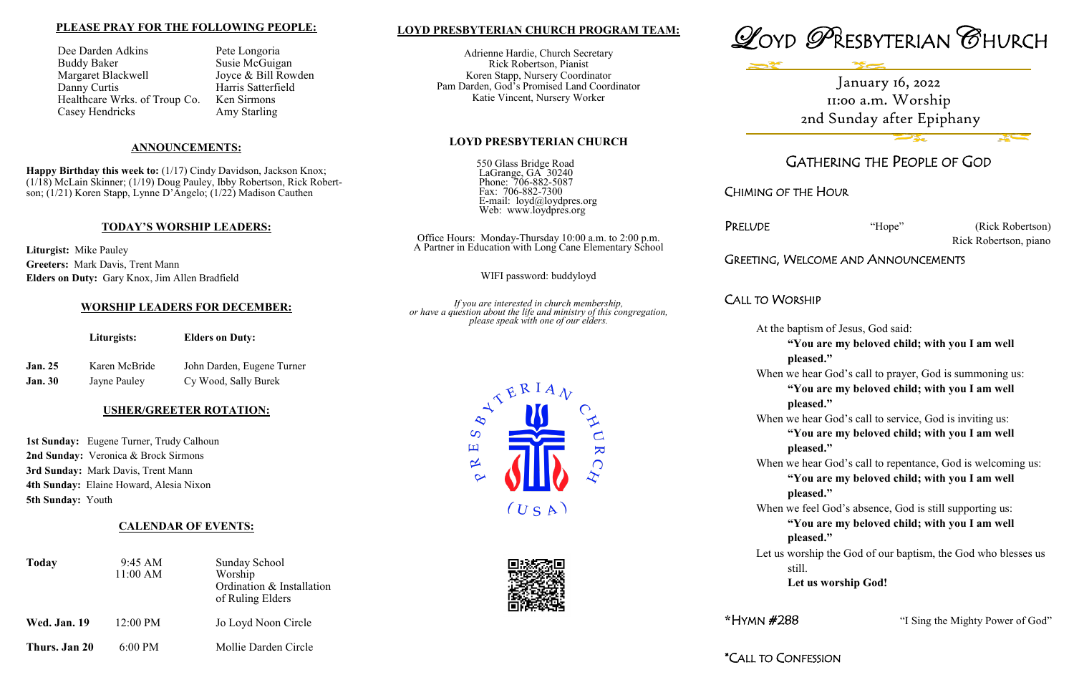#### **LOYD PRESBYTERIAN CHURCH PROGRAM TEAM:**

Adrienne Hardie, Church Secretary Rick Robertson, Pianist Koren Stapp, Nursery Coordinator Pam Darden, God's Promised Land Coordinator Katie Vincent, Nursery Worker

#### **LOYD PRESBYTERIAN CHURCH**

550 Glass Bridge Road LaGrange, GA 30240 Phone: 706-882-5087 Fax: 706-882-7300 E-mail: loyd@loydpres.org Web: www.loydpres.org

> PRELUDE "Hope" (Rick Robertson) Rick Robertson, piano

Office Hours: Monday-Thursday 10:00 a.m. to 2:00 p.m. A Partner in Education with Long Cane Elementary School

WIFI password: buddyloyd

*If you are interested in church membership, or have a question about the life and ministry of this congregation, please speak with one of our elders.*



When we hear God's call to repentance, God is welcoming us: **"You are my beloved child; with you I am well** 



# GATHERING THE PEOPLE OF GOD

CHIMING OF THE HOUR

## GREETING, WELCOME AND ANNOUNCEMENTS

### CALL TO WORSHIP

At the baptism of Jesus, God said:

**"You are my beloved child; with you I am well pleased."**

When we hear God's call to prayer, God is summoning us:

**Happy Birthday this week to:** (1/17) Cindy Davidson, Jackson Knox; (1/18) McLain Skinner; (1/19) Doug Pauley, Ibby Robertson, Rick Robertson; (1/21) Koren Stapp, Lynne D'Angelo; (1/22) Madison Cauthen

> **"You are my beloved child; with you I am well pleased."**

When we hear God's call to service, God is inviting us:

**Jan. 25** Karen McBride John Darden, Eugene Turner **Jan. 30** Jayne Pauley Cy Wood, Sally Burek

> **"You are my beloved child; with you I am well pleased."**

1st Sunday: Eugene Turner, Trudy Calhoun **2nd Sunday:** Veronica & Brock Sirmons **3rd Sunday:** Mark Davis, Trent Mann **4th Sunday:** Elaine Howard, Alesia Nixon **5th Sunday:** Youth

**pleased."** When we feel God's absence, God is still supporting us:

**"You are my beloved child; with you I am well pleased."**

Let us worship the God of our baptism, the God who blesses us still. **Let us worship God!**

**\***HYMN #288 "I Sing the Mighty Power of God"

#### **PLEASE PRAY FOR THE FOLLOWING PEOPLE:**

Dee Darden Adkins Pete Longoria Buddy Baker Susie McGuigan Margaret Blackwell Joyce & Bill Rowden Danny Curtis Harris Satterfield Healthcare Wrks. of Troup Co. Ken Sirmons Casey Hendricks Amy Starling

#### **ANNOUNCEMENTS:**

#### **TODAY'S WORSHIP LEADERS:**

**Liturgist:** Mike Pauley **Greeters:** Mark Davis, Trent Mann **Elders on Duty:** Gary Knox, Jim Allen Bradfield

#### **WORSHIP LEADERS FOR DECEMBER:**

**Liturgists: Elders on Duty:**

#### **USHER/GREETER ROTATION:**

### **CALENDAR OF EVENTS:**

| <b>Today</b>        | 9:45 AM<br>11:00 AM | <b>Sunday School</b><br>Worship<br>Ordination & Installation<br>of Ruling Elders |  |
|---------------------|---------------------|----------------------------------------------------------------------------------|--|
| <b>Wed. Jan. 19</b> | 12:00 PM            | Jo Loyd Noon Circle                                                              |  |
| Thurs. Jan 20       | $6:00$ PM           | Mollie Darden Circle                                                             |  |

January 16, 2022 11:00 a.m. Worship 2nd Sunday after Epiphany